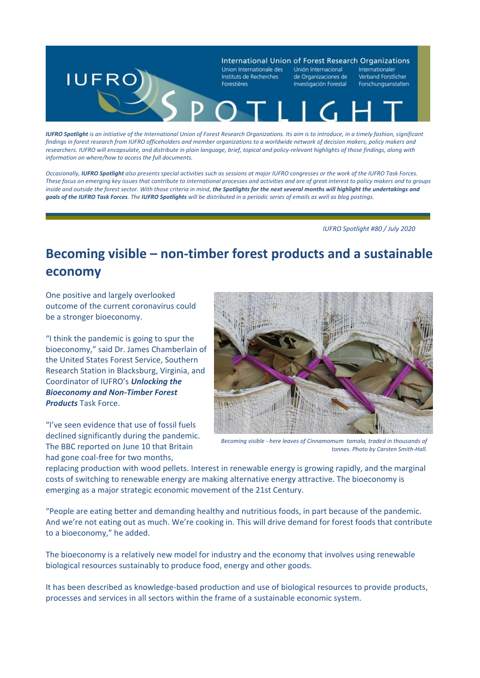

*IUFRO Spotlight is an initiative of the International Union of Forest Research Organizations. Its aim is to introduce, in a timely fashion, significant findings in forest research from IUFRO officeholders and member organizations to a worldwide network of decision makers, policy makers and researchers. IUFRO will encapsulate, and distribute in plain language, brief, topical and policy-relevant highlights of those findings, along with information on where/how to access the full documents.* 

*Occasionally, IUFRO Spotlight also presents special activities such as sessions at major IUFRO congresses or the work of the IUFRO Task Forces. These focus on emerging key issues that contribute to international processes and activities and are of great interest to policy makers and to groups*  inside and outside the forest sector. With those criteria in mind, the Spotlights for the next several months will highlight the undertakings and *goals of the IUFRO Task Forces. The IUFRO Spotlights will be distributed in a periodic series of emails as well as blog postings.*

 *IUFRO Spotlight #80 / July 2020*

## **Becoming visible – non-timber forest products and a sustainable economy**

One positive and largely overlooked outcome of the current coronavirus could be a stronger bioeconomy.

"I think the pandemic is going to spur the bioeconomy," said Dr. James Chamberlain of the United States Forest Service, Southern Research Station in Blacksburg, Virginia, and Coordinator of IUFRO's *Unlocking the Bioeconomy and Non-Timber Forest Products* Task Force.

"I've seen evidence that use of fossil fuels declined significantly during the pandemic. The BBC reported on June 10 that Britain had gone coal-free for two months,



*Becoming visible - here leaves of Cinnamomum tamala, traded in thousands of tonnes. Photo by Carsten Smith-Hall.*

replacing production with wood pellets. Interest in renewable energy is growing rapidly, and the marginal costs of switching to renewable energy are making alternative energy attractive. The bioeconomy is emerging as a major strategic economic movement of the 21st Century.

"People are eating better and demanding healthy and nutritious foods, in part because of the pandemic. And we're not eating out as much. We're cooking in. This will drive demand for forest foods that contribute to a bioeconomy," he added.

The bioeconomy is a relatively new model for industry and the economy that involves using renewable biological resources sustainably to produce food, energy and other goods.

It has been described as knowledge-based production and use of biological resources to provide products, processes and services in all sectors within the frame of a sustainable economic system.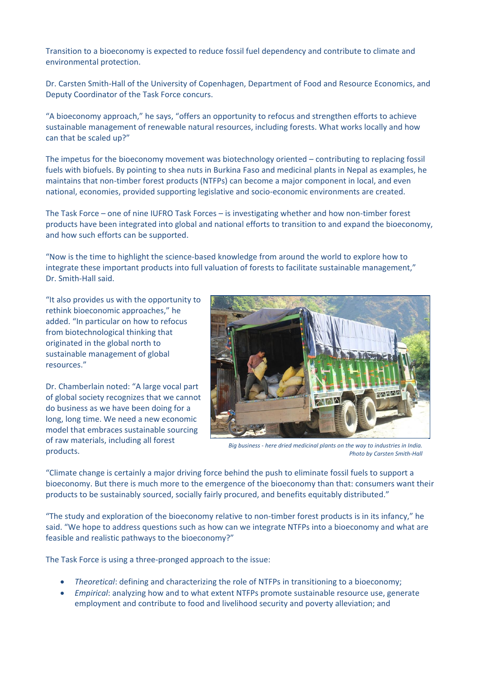Transition to a bioeconomy is expected to reduce fossil fuel dependency and contribute to climate and environmental protection.

Dr. Carsten Smith-Hall of the University of Copenhagen, Department of Food and Resource Economics, and Deputy Coordinator of the Task Force concurs.

"A bioeconomy approach," he says, "offers an opportunity to refocus and strengthen efforts to achieve sustainable management of renewable natural resources, including forests. What works locally and how can that be scaled up?"

The impetus for the bioeconomy movement was biotechnology oriented – contributing to replacing fossil fuels with biofuels. By pointing to shea nuts in Burkina Faso and medicinal plants in Nepal as examples, he maintains that non-timber forest products (NTFPs) can become a major component in local, and even national, economies, provided supporting legislative and socio-economic environments are created.

The Task Force – one of nine IUFRO Task Forces – is investigating whether and how non-timber forest products have been integrated into global and national efforts to transition to and expand the bioeconomy, and how such efforts can be supported.

"Now is the time to highlight the science-based knowledge from around the world to explore how to integrate these important products into full valuation of forests to facilitate sustainable management," Dr. Smith-Hall said.

"It also provides us with the opportunity to rethink bioeconomic approaches," he added. "In particular on how to refocus from biotechnological thinking that originated in the global north to sustainable management of global resources."

Dr. Chamberlain noted: "A large vocal part of global society recognizes that we cannot do business as we have been doing for a long, long time. We need a new economic model that embraces sustainable sourcing of raw materials, including all forest products.



*Big business - here dried medicinal plants on the way to industries in India. Photo by Carsten Smith-Hall*

"Climate change is certainly a major driving force behind the push to eliminate fossil fuels to support a bioeconomy. But there is much more to the emergence of the bioeconomy than that: consumers want their products to be sustainably sourced, socially fairly procured, and benefits equitably distributed."

"The study and exploration of the bioeconomy relative to non-timber forest products is in its infancy," he said. "We hope to address questions such as how can we integrate NTFPs into a bioeconomy and what are feasible and realistic pathways to the bioeconomy?"

The Task Force is using a three-pronged approach to the issue:

- *Theoretical*: defining and characterizing the role of NTFPs in transitioning to a bioeconomy;
- *Empirical*: analyzing how and to what extent NTFPs promote sustainable resource use, generate employment and contribute to food and livelihood security and poverty alleviation; and